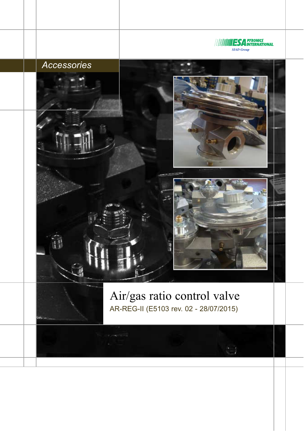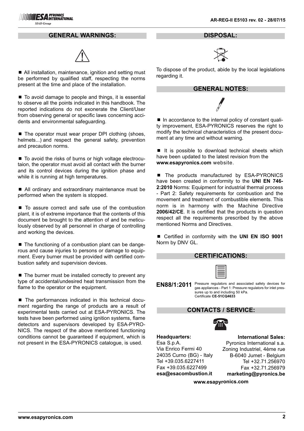### **GENERAL WARNINGS:**



■ All installation, maintenance, ignition and setting must be performed by qualified staff, respecting the norms present at the time and place of the installation.

 $\blacksquare$  To avoid damage to people and things, it is essential to observe all the points indicated in this handbook. The reported indications do not exonerate the Client/User from observing general or specific laws concerning accidents and environmental safeguarding.

■ The operator must wear proper DPI clothing (shoes, helmets...) and respect the general safety, prevention and precaution norms.

■ To avoid the risks of burns or high voltage electrocutaion, the operator must avoid all contact with the burner and its control devices during the ignition phase and while it is running at high temperatures.

■ All ordinary and extraordinary maintenance must be performed when the system is stopped.

■ To assure correct and safe use of the combustion plant, it is of extreme importance that the contents of this document be brought to the attention of and be meticulously observed by all personnel in charge of controlling and working the devices.

■ The functioning of a combustion plant can be dangerous and cause injuries to persons or damage to equipment. Every burner must be provided with certified combustion safety and supervision devices.

 $\blacksquare$  The burner must be installed correctly to prevent any type of accidental/undesired heat transmission from the flame to the operator or the equipment.

■ The performances indicated in this technical document regarding the range of products are a result of experimental tests carried out at ESA-PYRONICS. The tests have been performed using ignition systems, flame detectors and supervisors developed by ESA-PYRO-NICS. The respect of the above mentioned functioning conditions cannot be guaranteed if equipment, which is not present in the ESA-PYRONICS catalogue, is used.

**DISPOSAL:**



To dispose of the product, abide by the local legislations regarding it.

#### **GENERAL NOTES:**

■ In accordance to the internal policy of constant quality improvement, ESA-PYRONICS reserves the right to modify the technical characteristics of the present document at any time and without warning.

 $\blacksquare$  It is possible to download technical sheets which have been updated to the latest revision from the **www.esapyronics.com** website.

The products manufactured by ESA-PYRONICS have been created in conformity to the **UNI EN 746- 2:2010** Norms: Equipment for industrial thermal process - Part 2: Safety requirements for combustion and the movement and treatment of combustible elements. This norm is in harmony with the Machine Directive **2006/42/CE**. It is certified that the products in question respect all the requirements prescribed by the above mentioned Norms and Directives.

■ Certified in conformity with the **UNI EN ISO 9001** Norm by DNV GL.

| <b>CERTIFICATIONS:</b>                                                                                                                                                                               |  |                             |  |  |  |
|------------------------------------------------------------------------------------------------------------------------------------------------------------------------------------------------------|--|-----------------------------|--|--|--|
| Pressure regulators and associated safety devices for<br>EN88/1:2011<br>gas appliances - Part 1: Pressure regulators for inlet pres-<br>sures up to and including 50 kPa.<br>Certificate CE-51CQ4633 |  |                             |  |  |  |
| <b>CONTACTS / SERVICE:</b>                                                                                                                                                                           |  |                             |  |  |  |
|                                                                                                                                                                                                      |  |                             |  |  |  |
| Headquarters:                                                                                                                                                                                        |  | <b>International Sales:</b> |  |  |  |
| Esa S.p.A.                                                                                                                                                                                           |  | Pyronics International s.a. |  |  |  |
| Via Enrico Fermi 40                                                                                                                                                                                  |  | Zoning Industriel, 4ème rue |  |  |  |
| 24035 Curno (BG) - Italy                                                                                                                                                                             |  | B-6040 Jumet - Belgium      |  |  |  |
| Tel +39.035.6227411                                                                                                                                                                                  |  | Tel +32.71.256970           |  |  |  |
| Fax +39.035.6227499                                                                                                                                                                                  |  | Fax +32.71.256979           |  |  |  |

**esa@esacombustion.it**

**www.esapyronics.com**

**marketing@pyronics.be**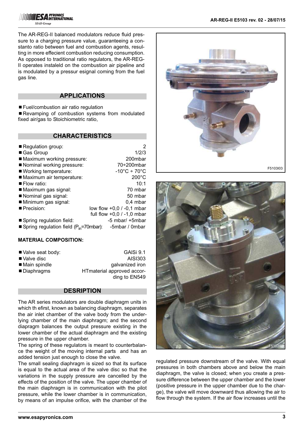The AR-REG-II balanced modulators reduce fluid pressure to a charging pressure value, guaranteeing a constanto ratio between fuel and combustion agents, resulting in more effecient combustion reducing consumption. As opposed to traditional ratio regulators, the AR-REG-II operates instaleld on the combustion air pipeline and is modulated by a pressur esignal coming from the fuel gas line.

### **APPLICATIONS**

■ Fuel/combustion air ratio regulation

■ Revamping of combustion systems from modulated fixed air/gas to Stoichiometric ratio,

### **CHARACTERISTICS**

| Regulation group:                           | 2                                 |  |
|---------------------------------------------|-----------------------------------|--|
| ■ Gas Group                                 | 1/2/3                             |  |
| Maximum working pressure:                   | 200mbar                           |  |
| Nominal working pressure:                   | $70+200$ mbar                     |  |
| ■ Working temperature:                      | $-10^{\circ}$ C ÷ 70 $^{\circ}$ C |  |
| Maximum air temperature:                    | $200^{\circ}$ C                   |  |
| $\blacksquare$ Flow ratio:                  | 10:1                              |  |
| Maximum gas signal:                         | 70 mbar                           |  |
| Nominal gas signal:                         | 50 mbar                           |  |
| Minimum gas signal:                         | $0,4$ mbar                        |  |
| Precision:                                  | low flow +0,0 / -0,1 mbar         |  |
|                                             | full flow $+0.0$ / -1.0 mbar      |  |
| ■ Spring regulation field:                  | -5 mbar/ +5mbar                   |  |
| Spring regulation field $(P_{in}=70$ mbar): | -5mbar / 0mbar                    |  |

#### **MATERIAL COMPOSITION:**

| ■ Valve seat body: | GAISi 9.1                  |  |
|--------------------|----------------------------|--|
| ■ Valve disc       | AISI303                    |  |
| ■ Main spindle     | galvanized iron            |  |
| ■ Diaphragms       | HTmaterial approved accor- |  |
|                    | ding to EN549              |  |

### **DESRIPTION**

The AR series modulators are double diaphragm units in which th efirst, known as balancing diaphragm, separates the air inlet chamber of the valve body from the underlying chamber of the main diaphragm; and the second diapragm balances the output pressure existing in the lower chamber of the actual diaphragm and the existing pressure in the upper chamber.

The spring of these regulators is meant to counterbalance the weight of the moving internal parts and has an added tension just enough to close the valve.

The small sealing diaphragm is sized so that its surface is equal to the actual area of the valve disc so that the variations in the supply pressure are cancelled by the effects of the position of the valve. The upper chamber of the main diaphragm is in communication with the pilot pressure, while the lower chamber is in communication, by means of an impulse orifice, with the chamber of the





regulated pressure downstream of the valve. With equal pressures in both chambers above and below the main diaphragm, the valve is closed; when you create a pressure difference between the upper chamber and the lower (positive pressure in the upper chamber due to the charge), the valve will move downward thus allowing the air to flow through the system. If the air flow increases until the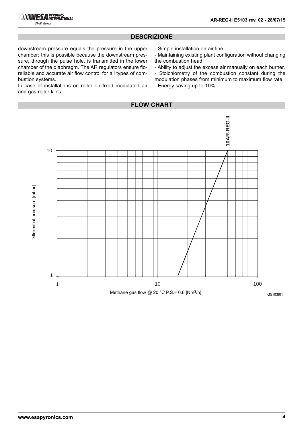

# **DESCRIZIONE**

downstream pressure equals the pressure in the upper chamber; this is possible because the downstream pressure, through the pulse hole, is transmitted in the lower chamber of the diaphragm. The AR regulators ensure floreliable and accurate air flow control for all types of combustion systems.

In case of installations on roller on fixed modulated air and gas roller kilns:

- Simple installation on air line
- Maintaining existing plant configuration without changing the combustion head.
- Ability to adjust the excess air manually on each burner.
- Stoichiometry of the combustion constant during the modulation phases from minimum to maximum flow rate.
- Energy saving up to 10%.

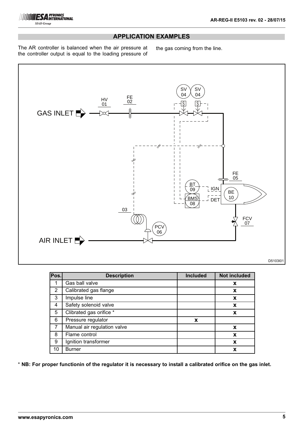

## **APPLICATION EXAMPLES**

The AR controller is balanced when the air pressure at the controller output is equal to the loading pressure of

the gas coming from the line.



| Pos. | <b>Description</b>          | <b>Included</b> | <b>Not included</b> |
|------|-----------------------------|-----------------|---------------------|
| 1    | Gas ball valve              |                 | X                   |
| 2    | Calibrated gas flange       |                 | X                   |
| 3    | Impulse line                |                 | X                   |
| 4    | Safety solenoid valve       |                 | X                   |
| 5    | Clibrated gas orifice *     |                 | X                   |
| 6    | Pressure regulator          | X               |                     |
| 7    | Manual air regulation valve |                 | X                   |
| 8    | Flame control               |                 | X                   |
| 9    | Ignition transformer        |                 | X                   |
| 10   | <b>Burner</b>               |                 |                     |

\* **NB: For proper functionin of the regulator it is necessary to install a calibrated orifice on the gas inlet.**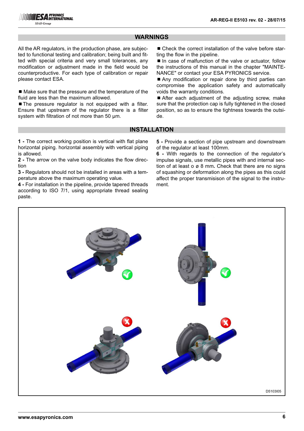## **WARNINGS**

All the AR regulators, in the production phase, are subjected to functional testing and calibration; being built and fitted with special criteria and very small tolerances, any modification or adjustment made in the field would be counterproductive. For each type of calibration or repair please contact ESA.

 $\blacksquare$  Make sure that the pressure and the temperature of the fluid are less than the maximum allowed.

■ The pressure regulator is not equipped with a filter. Ensure that upstream of the regulator there is a filter system with filtration of not more than 50 μm.

■ Check the correct installation of the valve before starting the flow in the pipeline.

 $\blacksquare$  In case of malfunction of the valve or actuator, follow the instructions of this manual in the chapter "MAINTE-NANCE" or contact your ESA PYRONICS service.

■ Any modification or repair done by third parties can compromise the application safety and automatically voids the warranty conditions.

■ After each adjustment of the adjusting screw, make sure that the protection cap is fully tightened in the closed position, so as to ensure the tightness towards the outside.

### **INSTALLATION**

**1 -** The correct working position is vertical with flat plane horizontal piping. horizontal assembly with vertical piping is allowed.

**2 -** The arrow on the valve body indicates the flow direction

**3 -** Regulators should not be installed in areas with a temperature above the maximum operating value.

**4 -** For installation in the pipeline, provide tapered threads according to ISO 7/1, using appropriate thread sealing paste.

**5 -** Provide a section of pipe upstream and downstream of the regulator at least 100mm.

**6 -** With regards to the connection of the regulator's impulse signals, use metallic pipes with and internal section of at least o ø 8 mm**.** Check that there are no signs of squashing or deformation along the pipes as this could affect the proper transmisison of the signal to the instrument.

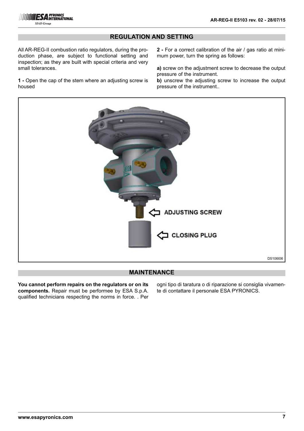

### **REGULATION AND SETTING**

All AR-REG-II combustion ratio regulators, during the production phase, are subject to functional setting and inspection; as they are built with special criteria and very small tolerances.

**1 -** Open the cap of the stem where an adjusting screw is housed

**2 -** For a correct calibration of the air / gas ratio at minimum power, turn the spring as follows:

**a)** screw on the adjustment screw to decrease the output pressure of the instrument.

**b)** unscrew the adjusting screw to increase the output pressure of the instrument..



# **MAINTENANCE**

**You cannot perform repairs on the regulators or on its components.** Repair must be performee by ESA S.p.A. qualified technicians respecting the norms in force. . Per

ogni tipo di taratura o di riparazione si consiglia vivamente di contattare il personale ESA PYRONICS.